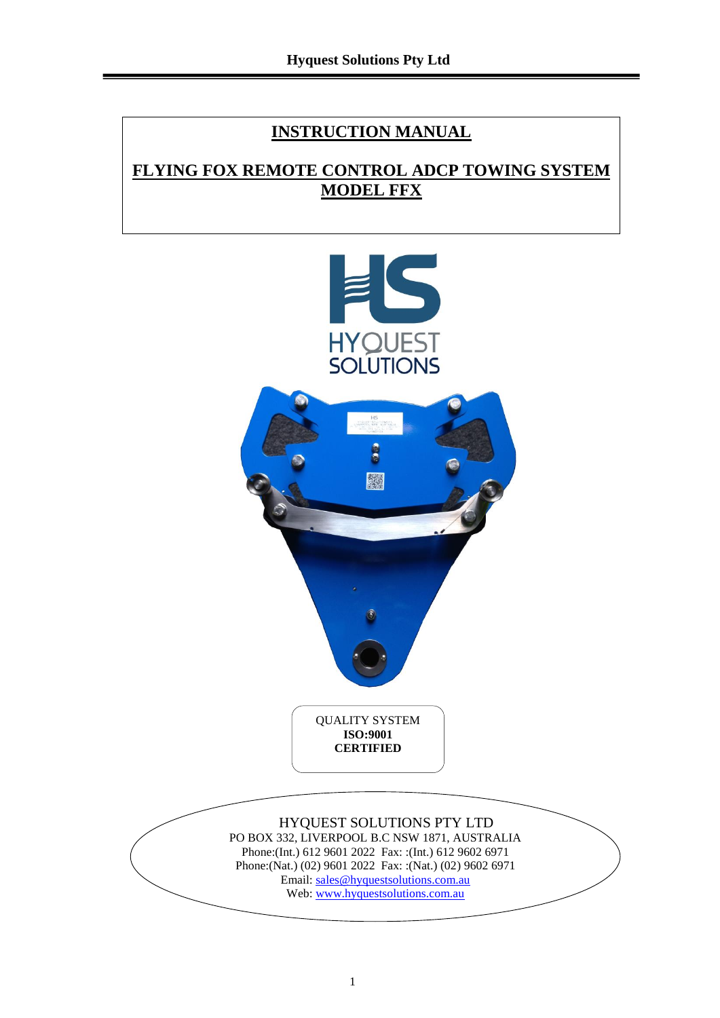### **INSTRUCTION MANUAL**

### **FLYING FOX REMOTE CONTROL ADCP TOWING SYSTEM MODEL FFX**

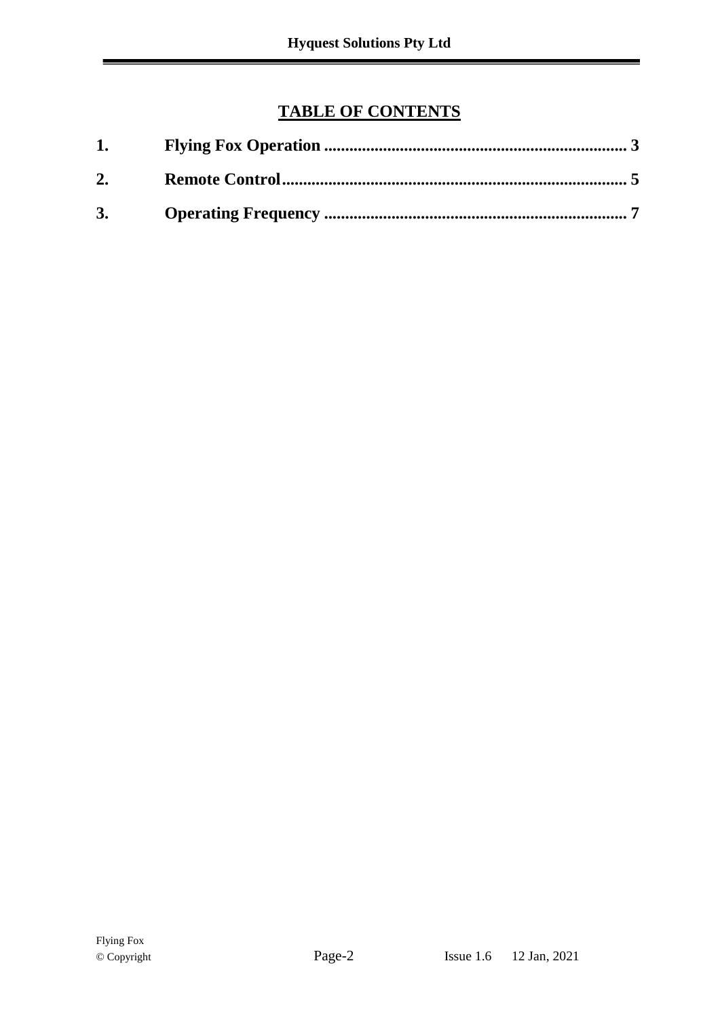## **TABLE OF CONTENTS**

| 1. |  |
|----|--|
| 2. |  |
| 3. |  |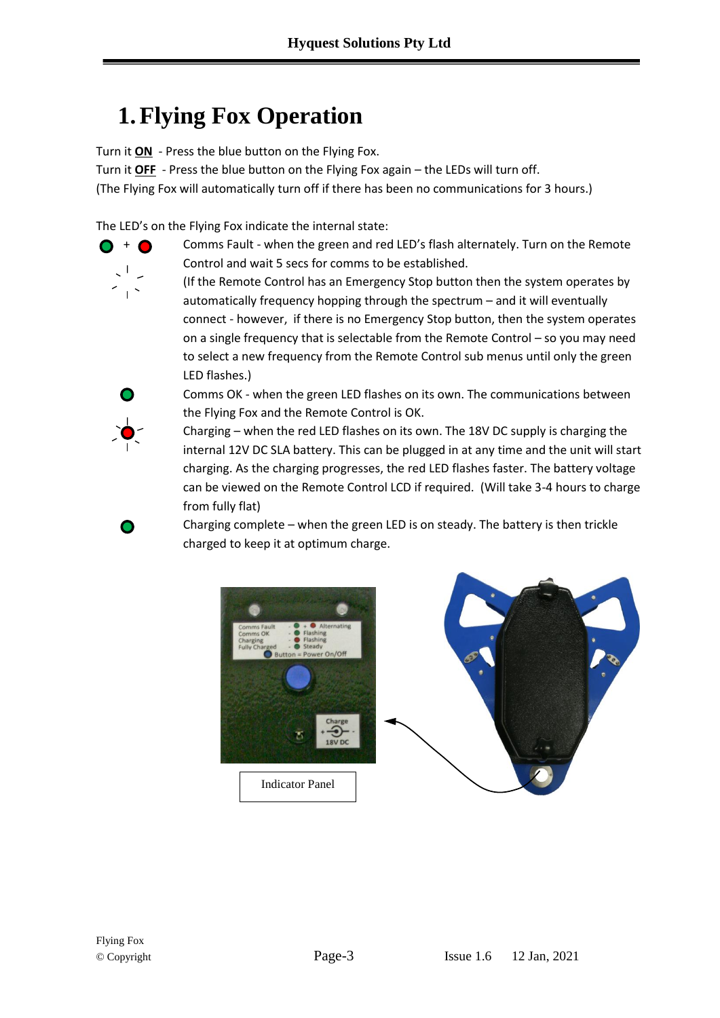# <span id="page-2-0"></span>**1.Flying Fox Operation**

Turn it **ON** - Press the blue button on the Flying Fox.

Turn it **OFF** - Press the blue button on the Flying Fox again – the LEDs will turn off. (The Flying Fox will automatically turn off if there has been no communications for 3 hours.)

The LED's on the Flying Fox indicate the internal state:



 $\bigcirc$  +  $\bigcirc$  Comms Fault - when the green and red LED's flash alternately. Turn on the Remote Control and wait 5 secs for comms to be established.

> (If the Remote Control has an Emergency Stop button then the system operates by automatically frequency hopping through the spectrum – and it will eventually connect - however, if there is no Emergency Stop button, then the system operates on a single frequency that is selectable from the Remote Control – so you may need to select a new frequency from the Remote Control sub menus until only the green LED flashes.)



∩

Comms OK - when the green LED flashes on its own. The communications between the Flying Fox and the Remote Control is OK.

Charging – when the red LED flashes on its own. The 18V DC supply is charging the internal 12V DC SLA battery. This can be plugged in at any time and the unit will start charging. As the charging progresses, the red LED flashes faster. The battery voltage can be viewed on the Remote Control LCD if required. (Will take 3-4 hours to charge from fully flat)

Charging complete – when the green LED is on steady. The battery is then trickle charged to keep it at optimum charge.



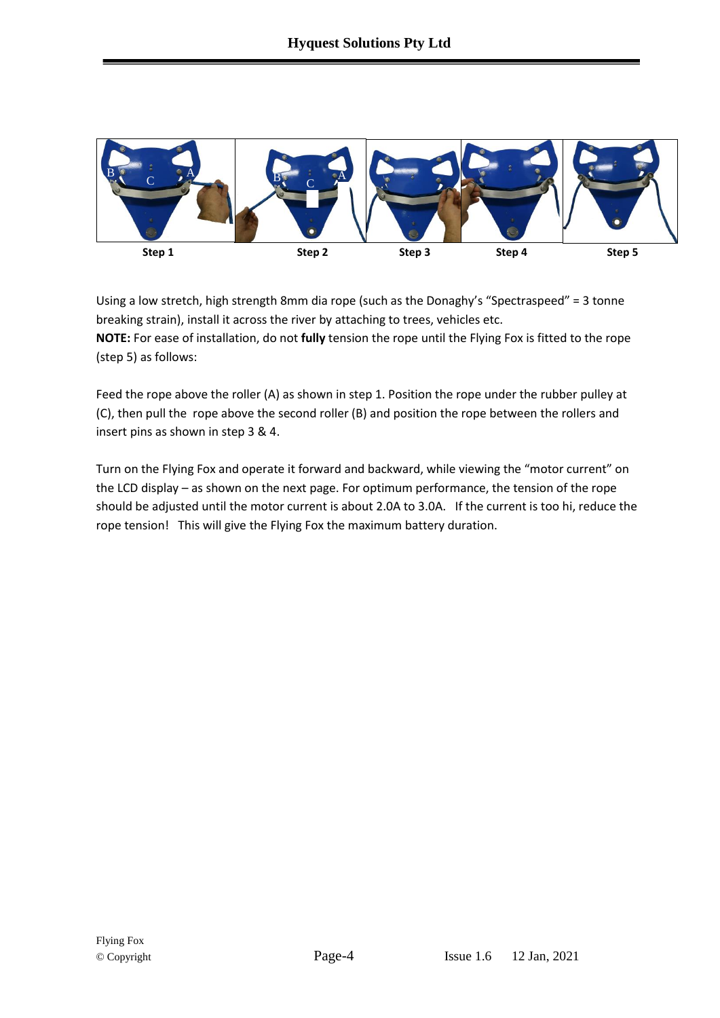

Using a low stretch, high strength 8mm dia rope (such as the Donaghy's "Spectraspeed" = 3 tonne breaking strain), install it across the river by attaching to trees, vehicles etc. **NOTE:** For ease of installation, do not **fully** tension the rope until the Flying Fox is fitted to the rope (step 5) as follows:

Feed the rope above the roller (A) as shown in step 1. Position the rope under the rubber pulley at (C), then pull the rope above the second roller (B) and position the rope between the rollers and insert pins as shown in step 3 & 4.

Turn on the Flying Fox and operate it forward and backward, while viewing the "motor current" on the LCD display – as shown on the next page. For optimum performance, the tension of the rope should be adjusted until the motor current is about 2.0A to 3.0A. If the current is too hi, reduce the rope tension! This will give the Flying Fox the maximum battery duration.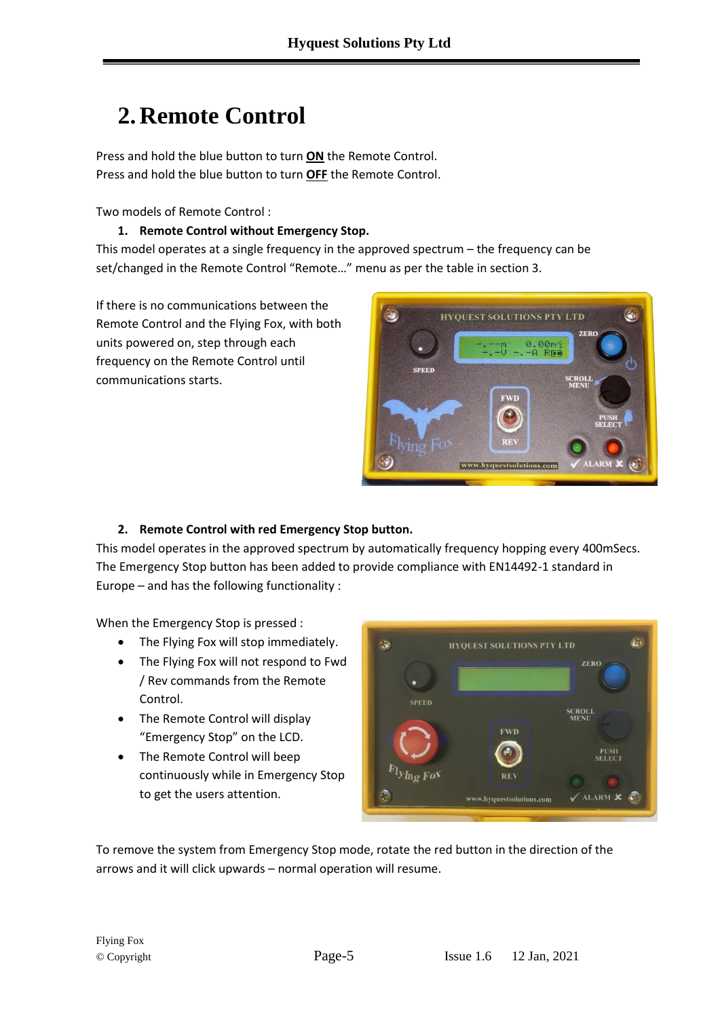# <span id="page-4-0"></span>**2. Remote Control**

Press and hold the blue button to turn **ON** the Remote Control. Press and hold the blue button to turn **OFF** the Remote Control.

Two models of Remote Control :

#### **1. Remote Control without Emergency Stop.**

This model operates at a single frequency in the approved spectrum – the frequency can be set/changed in the Remote Control "Remote…" menu as per the table in section 3.

If there is no communications between the Remote Control and the Flying Fox, with both units powered on, step through each frequency on the Remote Control until communications starts.



#### **2. Remote Control with red Emergency Stop button.**

This model operates in the approved spectrum by automatically frequency hopping every 400mSecs. The Emergency Stop button has been added to provide compliance with EN14492-1 standard in Europe – and has the following functionality :

When the Emergency Stop is pressed :

- The Flying Fox will stop immediately.
- The Flying Fox will not respond to Fwd / Rev commands from the Remote Control.
- The Remote Control will display "Emergency Stop" on the LCD.
- The Remote Control will beep continuously while in Emergency Stop to get the users attention.



To remove the system from Emergency Stop mode, rotate the red button in the direction of the arrows and it will click upwards – normal operation will resume.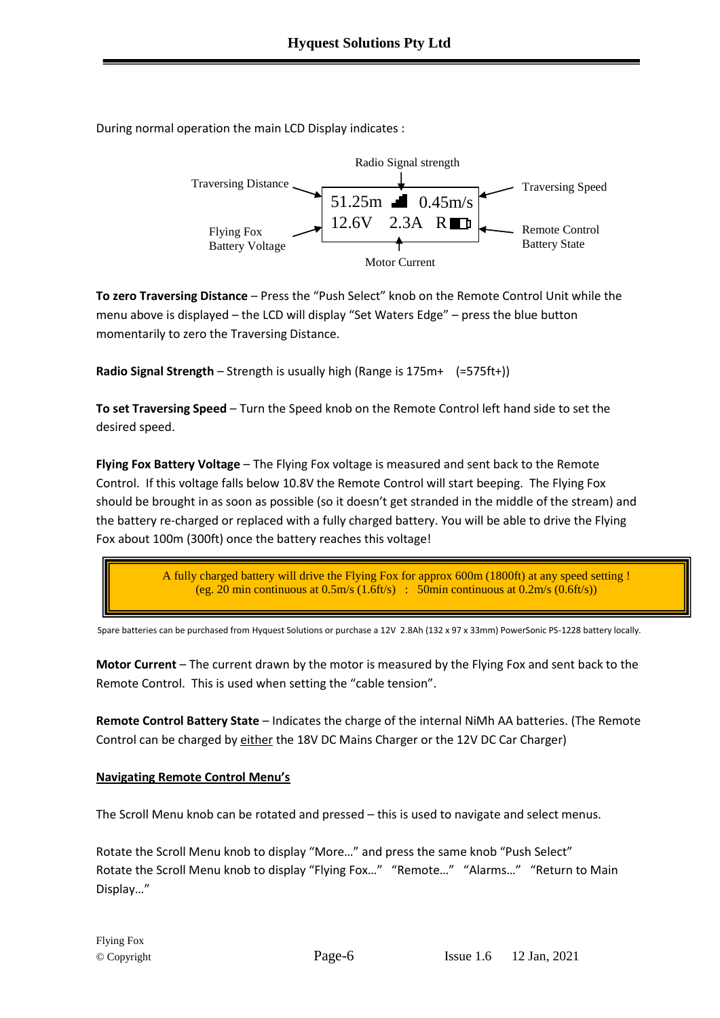During normal operation the main LCD Display indicates :



**To zero Traversing Distance** – Press the "Push Select" knob on the Remote Control Unit while the menu above is displayed – the LCD will display "Set Waters Edge" – press the blue button momentarily to zero the Traversing Distance.

**Radio Signal Strength** – Strength is usually high (Range is 175m+ (=575ft+))

**To set Traversing Speed** – Turn the Speed knob on the Remote Control left hand side to set the desired speed.

**Flying Fox Battery Voltage** – The Flying Fox voltage is measured and sent back to the Remote Control. If this voltage falls below 10.8V the Remote Control will start beeping. The Flying Fox should be brought in as soon as possible (so it doesn't get stranded in the middle of the stream) and the battery re-charged or replaced with a fully charged battery. You will be able to drive the Flying Fox about 100m (300ft) once the battery reaches this voltage!

> A fully charged battery will drive the Flying Fox for approx 600m (1800ft) at any speed setting ! (eg. 20 min continuous at  $0.5$ m/s  $(1.6$ ft/s) : 50min continuous at  $0.2$ m/s  $(0.6$ ft/s))

Spare batteries can be purchased from Hyquest Solutions or purchase a 12V 2.8Ah (132 x 97 x 33mm) PowerSonic PS-1228 battery locally.

**Motor Current** – The current drawn by the motor is measured by the Flying Fox and sent back to the Remote Control. This is used when setting the "cable tension".

**Remote Control Battery State** – Indicates the charge of the internal NiMh AA batteries. (The Remote Control can be charged by either the 18V DC Mains Charger or the 12V DC Car Charger)

#### **Navigating Remote Control Menu's**

The Scroll Menu knob can be rotated and pressed – this is used to navigate and select menus.

Rotate the Scroll Menu knob to display "More…" and press the same knob "Push Select" Rotate the Scroll Menu knob to display "Flying Fox…" "Remote…" "Alarms…" "Return to Main Display…"